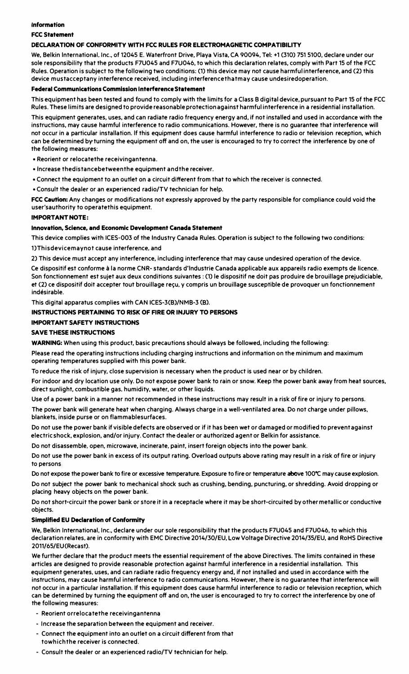#### Information

#### **CCC Statement**

#### DECLARATION OF CONFORMITY WITH ECC RHI ES EOR ELECTROMAGNETIC COMPATIBILITY

We, Belkin International, Inc., of 12045 E. Waterfront Drive, Playa Vista, CA 90094, Tel: +1 (310) 751 5100, declare under our sole responsibility that the products F7U045 and F7U046, to which this declaration relates, comply with Part 15 of the FCC Rules. Operation is subject to the following two conditions: (1) this device may not cause harmful interference, and (2) this device mustacceptany interference received, including interference that may cause undesired operation.

#### Federal Communications Commission interference Ctatement

This equipment has been tested and found to comply with the limits for a Class B digital device, pursuant to Part 15 of the FCC Rules. These limits are designed to provide reasonable protection against harmful interference in a residential installation. This equipment generates uses and can radiate radio frequency energy and if not installed and used in accordance with the instructions. may cause harmful interference to radio communications. However, there is no guarantee that interference will not occur in a particular installation. If this equipment does cause harmful interference to radio or television reception, which can be determined by turning the equipment off and on, the user is encouraged to try to correct the interference by one of the following measures

· Reorient or relocatethe receivingantenna.

- . Increase the distance between the equipment and the receiver.
- . Connect the equipment to an outlet on a circuit different from that to which the receiver is connected.
- . Consult the dealer or an experienced radio/TV technician for help.

FCC Caution: Any changes or modifications not expressly approved by the party responsible for compliance could yoid the user'sauthority to operatethis equipment.

#### **IMPORTANT NOTE:**

#### Innovation, Science, and Economic Development Canada Statement

This device complies with ICES-003 of the Industry Canada Rules. Operation is subject to the following two conditions: 1) This device may not cause interference, and

2) This device must accept any interference, including interference that may cause undesired operation of the device.

Ce dispositif est conforme à la norme CNR-standards d'Industrie Canada applicable aux appareils radio exempts de licence. Son fonctionnement est suiet aux deux conditions suivantes : (1) le dispositif ne doit pas produire de brouillage prejudiciable. et (2) ce dispositif doit accepter tout brouillage reçu, y compris un brouillage susceptible de provoquer un fonctionnement indésirable

This digital apparatus complies with CAN ICES-3(B)/NMB-3 (B).

#### INSTRUCTIONS PERTAINING TO RISK OF FIRE OR INJURY TO PERSONS

### **IMPORTANT SAFFTY INSTRUCTIONS**

### **SAVE THESE INSTRUCTIONS**

WARNING: When using this product, basic precautions should always be followed, including the following:

Please read the operating instructions including charging instructions and information on the minimum and maximum operating temperatures supplied with this power bank.

To reduce the risk of injury, close supervision is necessary when the product is used near or by children.

For indoor and drv location use only. Do not expose power bank to rain or snow. Keep the power bank away from heat sources, direct sunlight, combustible gas, humidity, water, or other liquids.

Use of a power bank in a manner not recommended in these instructions may result in a risk of fire or injury to persons.

The power bank will generate heat when charging. Always charge in a well-ventilated area. Do not charge under pillows. blankets, inside purse or on flammablesurfaces.

Do not use the power bank if visible defects are observed or if it has been wet or damaged or modified to preventagainst electric shock, explosion, and/or injury. Contact the dealer or authorized agent or Belkin for assistance.

Do not disassemble, open, microwave, incinerate, paint, insert foreign objects into the power bank

Do not use the power bank in excess of its output rating. Overload outputs above rating may result in a risk of fire or injury to persons

Do not expose the power bank to fire or excessive temperature. Exposure to fire or temperature above 100°C may cause explosion.

Do not subject the power bank to mechanical shock such as crushing, bending, puncturing, or shredding. Avoid dropping or placing heavy objects on the power bank.

Do not short-circuit the power bank or store it in a receptacle where it may be short-circuited by other metallic or conductive objects.

#### Sim plified EU Declaration of Conformity

We. Belkin International, Inc., declare under our sole responsibility that the products F7U045 and F7U046, to which this declaration relates, are in conformity with EMC Directive 2014/30/EU. Low Voltage Directive 2014/35/EU, and RoHS Directive 2011/65/EU(Recast)

We further declare that the product meets the essential requirement of the above Directives. The limits contained in these articles are designed to provide reasonable protection against harmful interference in a residential installation. This equipment generates, uses, and can radiate radio frequency energy and, if not installed and used in accordance with the instructions, may cause harmful interference to radio communications. However, there is no guarantee that interference will not occur in a particular installation. If this equipment does cause harmful interference to radio or television reception, which can be determined by turning the equipment off and on, the user is encouraged to try to correct the interference by one of the following measures:

- Reorient orrelocatethe receivingantenna
- Increase the separation between the equipment and receiver.
- Connect the equipment into an outlet on a circuit different from that towhich the receiver is connected.
- Consult the dealer or an experienced radio/TV technician for help.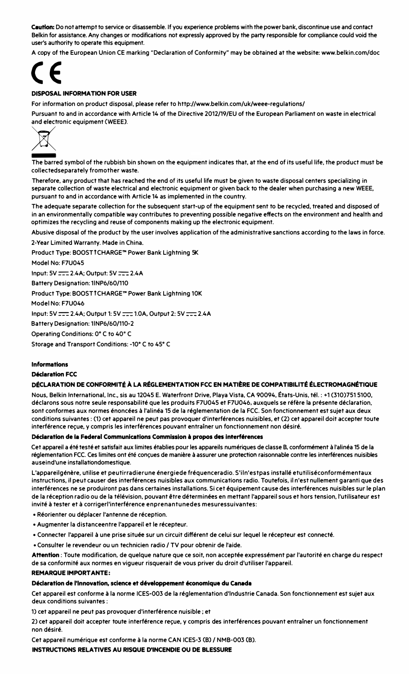Caution: Do not attempt to service or disassemble. If you experience problems with the power bank, discontinue use and contact Belkin for assistance. Any changes or modifications not expressly approved by the party responsible for compliance could void the user's authority to operate this equipment.

A copy of the European Union CE marking "Declaration of Conformity" may be obtained at the website: www.belkin.com/doc



#### DISBOSAL INFORMATION FOR USER

For information on product disposal, please refer to http://www.belkin.com/uk/weee-regulations/

Pursuant to and in accordance with Article 14 of the Directive 2012/19/EU of the European Parliament on waste in electrical



-The barred symbol of the rubbish bin shown on the equipment indicates that, at the end of its useful life, the product must be collectedseparately fromother waste.

Therefore. any product that has reached the end of its useful life must be given to waste disposal centers specializing in separate collection of waste electrical and electronic equipment or given back to the dealer when purchasing a new WEEE. pursuant to and in accordance with Article 14 as implemented in the country.

The adequate separate collection for the subsequent start-up of the equipment sent to be recycled, treated and disposed of in an environmentally compatible way contributes to preventing possible negative effects on the environment and health and optimizes the recycling and reuse of components making up the electronic equipment.

Abusive disposal of the product by the user involves application of the administrative sanctions according to the laws in force. 2-Year Limited Warranty. Made in China.

Product Type: BOOSTfCHARGE"' Power Bank Lightning SK

Model No: E7U045

Input: SV :-=-= 2.4A; Output: SV =:: 2.4A

Battery Designation: 1INP6/60/110

Product Type: BOOSTfCHARGE"' Power Bank Lightning lOK

Model No: F7U046

Input: 5V :::=:: 2.4A: Output 1: 5V :::::: 1.0A, Output 2: 5V :::::: 2.4A

Battery Designation: 1INP6/60/110-2

Operating Conditions: O" C to 40" C

Storage and Transport Conditions: -10• C to 45" C

## Informations<br>Déclaration FCC

#### DÉCLARATION DE CONFORMITÉ À LA RÉGLEMENTATION FCC EN MATIÈRE DE COMPATIBILITÉ ÉLECTROMAGNÉTIQUE

Nous, Belkin International. Inc., sis au 12045 E. Waterfront Drive. Playa Vista. CA 90094, Etats-Unis. tel. : +1 (310)751 5100, déclarons sous notre seule responsabilité que les produits F7U045 et F7U046, auxquels se réfère la présente déclaration, sont conformes aux normes énoncées à l'alinéa 15 de la réglementation de la FCC. Son fonctionnement est sujet aux deux conditions suivantes : (1) cet appareil ne peut pas provoquer d'interférences nuisibles, et (2) cet appareil doit accepter toute interférence recue, y compris les interférences pouvant entraîner un fonctionnement non désiré.

#### Déclaration de la Federal Communications Commission à propos des interférences

Cet appareil a été testé et satisfait aux limites établies pour les appareils numériques de classe B. conformément à l'alinéa 15 de la réglementation FCC. Ces limites ont été concues de manière à assurer une protection raisonnable contre les interférences nuisibles auseind'une installationdomestique.

L'appareilgénère, utilise et peutirradierune énergiede fréquenceradio. S'iln'estpas installé etutiliséconformémentaux instructions, il peut causer des interférences nuisibles aux communications radio. Toutefois, il n'est nullement garanti que des interferences ne se produiront pas dans certaines installations. Si cet 6quipement cause des interferences nuisibles sur le plan de la réception radio ou de la télévision, pouvant être déterminées en mettant l'appareil sous et hors tension, l'utilisateur est invité à tester et à corrigerl'interférence enprenantunedes mesuressuivantes:

- •Reorienter ou deplacer l'antenne de reception.
- •Augmenter la distanceentre l'apparei1et le recepteur.
- Connecter l'appareil à une prise située sur un circuit différent de celui sur lequel le récepteur est connecté.
- •Consulter le revendeur ou un technlcien radio I TV pour obtenir de l'aide.

Attention: Toute modification, de quelque nature que ce soit, non acceptée expressément par l'autorité en charge du respect de sa conformite aux normes en vigueur risquerait de vous priver du droit d'utiliser l'appareil.

#### REMARQUE IMPORT ANTE:

#### Déclaration de l'Innovation, science et développement économique du Canada

Cet appareil est conforme à la norme ICES-003 de la réglementation d'Industrie Canada. Son fonctionnement est sujet aux deux conditions suivantes:

1) cet appareil ne peut pas provoquer d'interférence nuisible ; et

2) cet appareil doit accepter toute interférence reçue, y compris des interférences pouvant entraîner un fonctionnement non desire.

Cet appareil numérique est conforme à la norme CAN ICES-3 (B) / NMB-003 (B).

INSTRUCTIONS RELATIVES AU RISQUE D'INCENDIE OU DE BLESSURE